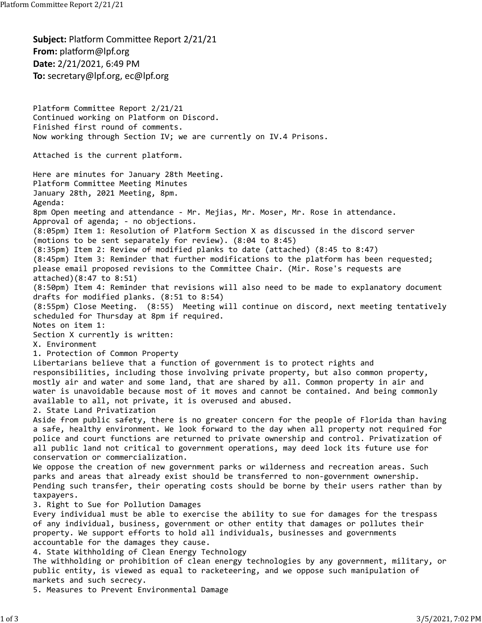**Subject: Platform Committee Report 2/21/21 From:** platform@lpf.org **Date:** 2/21/2021, 6:49 PM **To:** secretary@lpf.org, ec@lpf.org Platform Committee Report 2/21/21 Continued working on Platform on Discord. Finished first round of comments. Now working through Section IV; we are currently on IV.4 Prisons. Attached is the current platform. Here are minutes for January 28th Meeting. Platform Committee Meeting Minutes January 28th, 2021 Meeting, 8pm. Agenda: 8pm Open meeting and attendance ‐ Mr. Mejias, Mr. Moser, Mr. Rose in attendance. Approval of agenda; ‐ no objections. (8:05pm) Item 1: Resolution of Platform Section X as discussed in the discord server (motions to be sent separately for review). (8:04 to 8:45) (8:35pm) Item 2: Review of modified planks to date (attached) (8:45 to 8:47) (8:45pm) Item 3: Reminder that further modifications to the platform has been requested; please email proposed revisions to the Committee Chair. (Mir. Rose's requests are attached)(8:47 to 8:51) (8:50pm) Item 4: Reminder that revisions will also need to be made to explanatory document drafts for modified planks. (8:51 to 8:54) (8:55pm) Close Meeting. (8:55) Meeting will continue on discord, next meeting tentatively scheduled for Thursday at 8pm if required. Notes on item 1: Section X currently is written: X. Environment 1. Protection of Common Property Libertarians believe that a function of government is to protect rights and responsibilities, including those involving private property, but also common property, mostly air and water and some land, that are shared by all. Common property in air and water is unavoidable because most of it moves and cannot be contained. And being commonly available to all, not private, it is overused and abused. 2. State Land Privatization Aside from public safety, there is no greater concern for the people of Florida than having a safe, healthy environment. We look forward to the day when all property not required for police and court functions are returned to private ownership and control. Privatization of all public land not critical to government operations, may deed lock its future use for conservation or commercialization. We oppose the creation of new government parks or wilderness and recreation areas. Such parks and areas that already exist should be transferred to non-government ownership. Pending such transfer, their operating costs should be borne by their users rather than by taxpayers. 3. Right to Sue for Pollution Damages Every individual must be able to exercise the ability to sue for damages for the trespass of any individual, business, government or other entity that damages or pollutes their property. We support efforts to hold all individuals, businesses and governments accountable for the damages they cause. 4. State Withholding of Clean Energy Technology The withholding or prohibition of clean energy technologies by any government, military, or public entity, is viewed as equal to racketeering, and we oppose such manipulation of markets and such secrecy. 5. Measures to Prevent Environmental Damage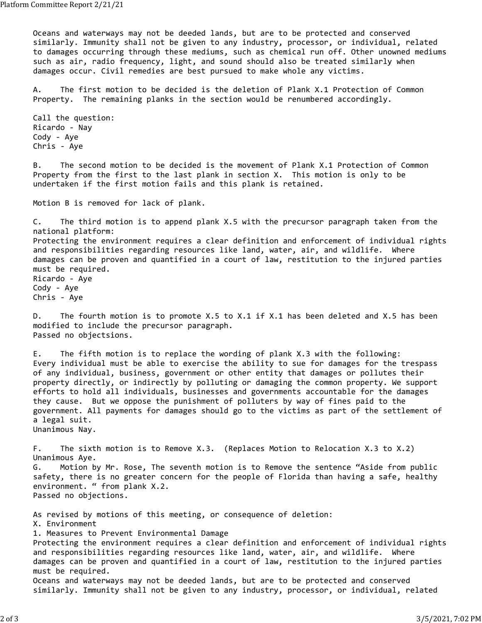Oceans and waterways may not be deeded lands, but are to be protected and conserved similarly. Immunity shall not be given to any industry, processor, or individual, related to damages occurring through these mediums, such as chemical run off. Other unowned mediums such as air, radio frequency, light, and sound should also be treated similarly when damages occur. Civil remedies are best pursued to make whole any victims.

A. The first motion to be decided is the deletion of Plank X.1 Protection of Common Property. The remaining planks in the section would be renumbered accordingly.

Call the question: Ricardo ‐ Nay Cody ‐ Aye Chris ‐ Aye

B. The second motion to be decided is the movement of Plank X.1 Protection of Common Property from the first to the last plank in section X. This motion is only to be undertaken if the first motion fails and this plank is retained.

Motion B is removed for lack of plank.

C. The third motion is to append plank X.5 with the precursor paragraph taken from the national platform: Protecting the environment requires a clear definition and enforcement of individual rights and responsibilities regarding resources like land, water, air, and wildlife. Where damages can be proven and quantified in a court of law, restitution to the injured parties must be required. Ricardo ‐ Aye Cody ‐ Aye Chris ‐ Aye

D. The fourth motion is to promote X.5 to X.1 if X.1 has been deleted and X.5 has been modified to include the precursor paragraph. Passed no objectsions.

E. The fifth motion is to replace the wording of plank X.3 with the following: Every individual must be able to exercise the ability to sue for damages for the trespass of any individual, business, government or other entity that damages or pollutes their property directly, or indirectly by polluting or damaging the common property. We support efforts to hold all individuals, businesses and governments accountable for the damages they cause. But we oppose the punishment of polluters by way of fines paid to the government. All payments for damages should go to the victims as part of the settlement of a legal suit. Unanimous Nay.

F. The sixth motion is to Remove X.3. (Replaces Motion to Relocation X.3 to X.2) Unanimous Aye. G. Motion by Mr. Rose, The seventh motion is to Remove the sentence "Aside from public safety, there is no greater concern for the people of Florida than having a safe, healthy environment. " from plank X.2. Passed no objections.

As revised by motions of this meeting, or consequence of deletion: X. Environment 1. Measures to Prevent Environmental Damage Protecting the environment requires a clear definition and enforcement of individual rights and responsibilities regarding resources like land, water, air, and wildlife. Where damages can be proven and quantified in a court of law, restitution to the injured parties must be required. Oceans and waterways may not be deeded lands, but are to be protected and conserved similarly. Immunity shall not be given to any industry, processor, or individual, related